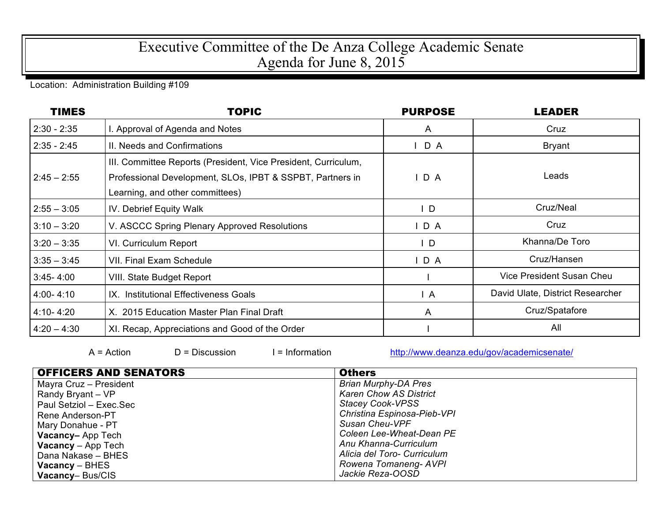## Executive Committee of the De Anza College Academic Senate Agenda for June 8, 2015

Location: Administration Building #109

| <b>TIMES</b>  | <b>TOPIC</b>                                                                                                                                                   | <b>PURPOSE</b> | <b>LEADER</b>                    |
|---------------|----------------------------------------------------------------------------------------------------------------------------------------------------------------|----------------|----------------------------------|
| $2:30 - 2:35$ | I. Approval of Agenda and Notes                                                                                                                                | $\mathsf{A}$   | Cruz                             |
| $2:35 - 2:45$ | II. Needs and Confirmations                                                                                                                                    | $I$ D A        | <b>Bryant</b>                    |
| $2:45 - 2:55$ | III. Committee Reports (President, Vice President, Curriculum,<br>Professional Development, SLOs, IPBT & SSPBT, Partners in<br>Learning, and other committees) | IDA            | Leads                            |
| $2:55 - 3:05$ | IV. Debrief Equity Walk                                                                                                                                        | $\mathsf{L}$   | Cruz/Neal                        |
| $3:10 - 3:20$ | V. ASCCC Spring Plenary Approved Resolutions                                                                                                                   | D A            | Cruz                             |
| $3:20 - 3:35$ | VI. Curriculum Report                                                                                                                                          | $\mathsf{L}$   | Khanna/De Toro                   |
| $3:35 - 3:45$ | <b>VII. Final Exam Schedule</b>                                                                                                                                | D A            | Cruz/Hansen                      |
| $3:45 - 4:00$ | VIII. State Budget Report                                                                                                                                      |                | Vice President Susan Cheu        |
| $4:00 - 4:10$ | IX. Institutional Effectiveness Goals                                                                                                                          | $\overline{A}$ | David Ulate, District Researcher |
| $4:10 - 4:20$ | X. 2015 Education Master Plan Final Draft                                                                                                                      | $\mathsf{A}$   | Cruz/Spatafore                   |
| $4:20 - 4:30$ | XI. Recap, Appreciations and Good of the Order                                                                                                                 |                | All                              |

 $A = Action$  D = Discussion I = Information http://www.deanza.edu/gov/academicsenate/

| <b>OFFICERS AND SENATORS</b> | <b>Others</b>                 |
|------------------------------|-------------------------------|
| Mayra Cruz - President       | <b>Brian Murphy-DA Pres</b>   |
| Randy Bryant – VP            | <b>Karen Chow AS District</b> |
| Paul Setziol - Exec.Sec      | <b>Stacey Cook-VPSS</b>       |
| Rene Anderson-PT             | Christina Espinosa-Pieb-VPI   |
| Mary Donahue - PT            | Susan Cheu-VPF                |
| <b>Vacancy-App Tech</b>      | Coleen Lee-Wheat-Dean PE      |
| <b>Vacancy</b> $-$ App Tech  | Anu Khanna-Curriculum         |
| Dana Nakase - BHES           | Alicia del Toro- Curriculum   |
| $Vacancy - BHES$             | Rowena Tomaneng-AVPI          |
| Vacancy-Bus/CIS              | Jackie Reza-OOSD              |